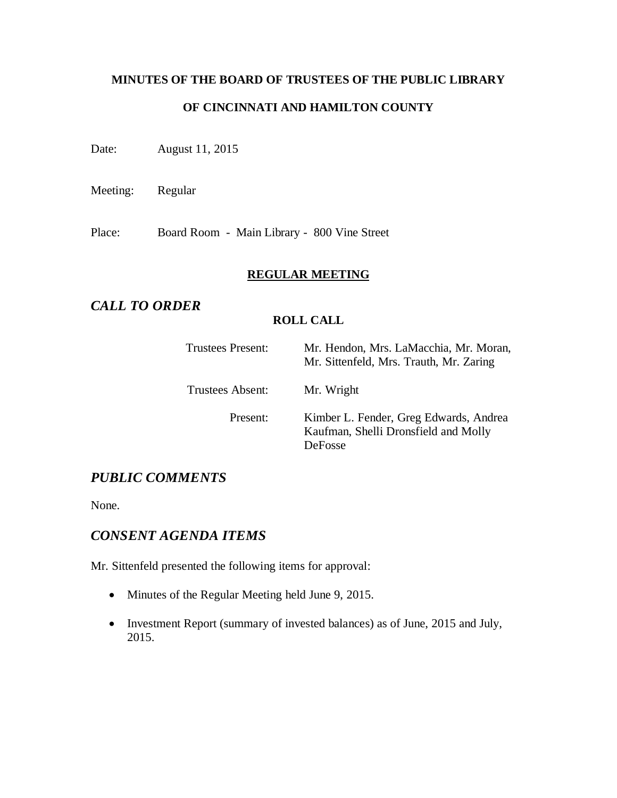# **MINUTES OF THE BOARD OF TRUSTEES OF THE PUBLIC LIBRARY OF CINCINNATI AND HAMILTON COUNTY**

Date: August 11, 2015

Meeting: Regular

Place: Board Room - Main Library - 800 Vine Street

#### **REGULAR MEETING**

# *CALL TO ORDER*

#### **ROLL CALL**

| Trustees Present: | Mr. Hendon, Mrs. LaMacchia, Mr. Moran,<br>Mr. Sittenfeld, Mrs. Trauth, Mr. Zaring                |
|-------------------|--------------------------------------------------------------------------------------------------|
| Trustees Absent:  | Mr. Wright                                                                                       |
| Present:          | Kimber L. Fender, Greg Edwards, Andrea<br>Kaufman, Shelli Dronsfield and Molly<br><b>DeFosse</b> |

# *PUBLIC COMMENTS*

None.

# *CONSENT AGENDA ITEMS*

Mr. Sittenfeld presented the following items for approval:

- Minutes of the Regular Meeting held June 9, 2015.
- Investment Report (summary of invested balances) as of June, 2015 and July, 2015.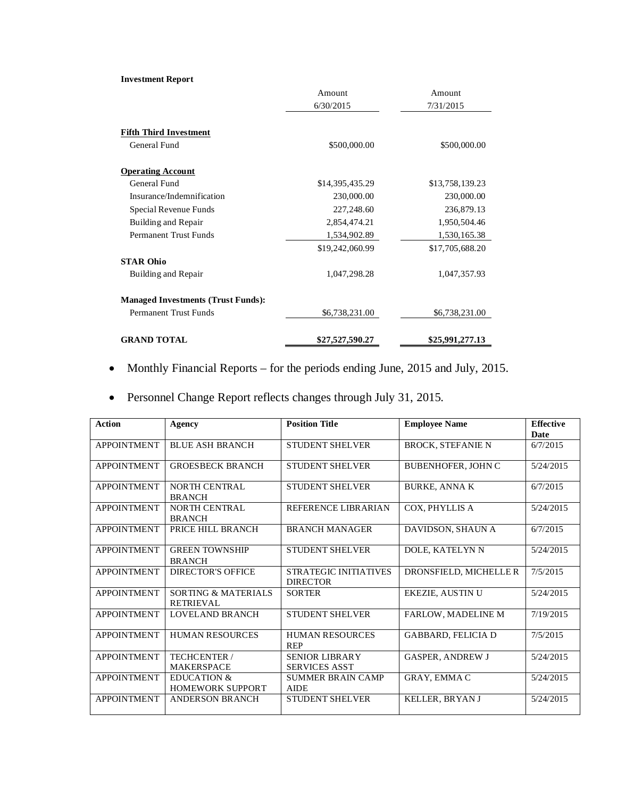#### **Investment Report**

|                                           | Amount          | Amount          |
|-------------------------------------------|-----------------|-----------------|
|                                           | 6/30/2015       | 7/31/2015       |
| <b>Fifth Third Investment</b>             |                 |                 |
| General Fund                              | \$500,000.00    | \$500,000.00    |
| <b>Operating Account</b>                  |                 |                 |
| General Fund                              | \$14,395,435.29 | \$13,758,139.23 |
| Insurance/Indemnification                 | 230,000.00      | 230,000.00      |
| Special Revenue Funds                     | 227,248.60      | 236,879.13      |
| Building and Repair                       | 2,854,474.21    | 1,950,504.46    |
| <b>Permanent Trust Funds</b>              | 1,534,902.89    | 1,530,165.38    |
|                                           | \$19,242,060.99 | \$17,705,688.20 |
| <b>STAR Ohio</b>                          |                 |                 |
| Building and Repair                       | 1,047,298.28    | 1,047,357.93    |
| <b>Managed Investments (Trust Funds):</b> |                 |                 |
| Permanent Trust Funds                     | \$6,738,231.00  | \$6,738,231.00  |
| <b>GRAND TOTAL</b>                        | \$27,527,590.27 | \$25,991,277.13 |

- Monthly Financial Reports for the periods ending June, 2015 and July, 2015.
- Personnel Change Report reflects changes through July 31, 2015.

| <b>Action</b>      | Agency                                             | <b>Position Title</b>                         | <b>Employee Name</b>      | <b>Effective</b> |
|--------------------|----------------------------------------------------|-----------------------------------------------|---------------------------|------------------|
|                    |                                                    |                                               |                           | Date             |
| <b>APPOINTMENT</b> | <b>BLUE ASH BRANCH</b>                             | <b>STUDENT SHELVER</b>                        | <b>BROCK, STEFANIE N</b>  | 6/7/2015         |
| <b>APPOINTMENT</b> | <b>GROESBECK BRANCH</b>                            | <b>STUDENT SHELVER</b>                        | <b>BUBENHOFER, JOHN C</b> | 5/24/2015        |
| <b>APPOINTMENT</b> | <b>NORTH CENTRAL</b><br><b>BRANCH</b>              | <b>STUDENT SHELVER</b>                        | <b>BURKE, ANNA K</b>      | 6/7/2015         |
| <b>APPOINTMENT</b> | <b>NORTH CENTRAL</b><br><b>BRANCH</b>              | REFERENCE LIBRARIAN                           | COX, PHYLLIS A            | 5/24/2015        |
| <b>APPOINTMENT</b> | PRICE HILL BRANCH                                  | <b>BRANCH MANAGER</b>                         | DAVIDSON, SHAUN A         | 6/7/2015         |
| <b>APPOINTMENT</b> | <b>GREEN TOWNSHIP</b><br><b>BRANCH</b>             | <b>STUDENT SHELVER</b>                        | DOLE, KATELYN N           | 5/24/2015        |
| <b>APPOINTMENT</b> | <b>DIRECTOR'S OFFICE</b>                           | STRATEGIC INITIATIVES<br><b>DIRECTOR</b>      | DRONSFIELD, MICHELLE R    | 7/5/2015         |
| <b>APPOINTMENT</b> | <b>SORTING &amp; MATERIALS</b><br><b>RETRIEVAL</b> | <b>SORTER</b>                                 | <b>EKEZIE, AUSTIN U</b>   | 5/24/2015        |
| <b>APPOINTMENT</b> | <b>LOVELAND BRANCH</b>                             | <b>STUDENT SHELVER</b>                        | <b>FARLOW, MADELINE M</b> | 7/19/2015        |
| <b>APPOINTMENT</b> | <b>HUMAN RESOURCES</b>                             | <b>HUMAN RESOURCES</b><br><b>REP</b>          | <b>GABBARD, FELICIA D</b> | 7/5/2015         |
| <b>APPOINTMENT</b> | <b>TECHCENTER /</b><br><b>MAKERSPACE</b>           | <b>SENIOR LIBRARY</b><br><b>SERVICES ASST</b> | <b>GASPER, ANDREW J</b>   | 5/24/2015        |
| <b>APPOINTMENT</b> | <b>EDUCATION &amp;</b><br><b>HOMEWORK SUPPORT</b>  | <b>SUMMER BRAIN CAMP</b><br><b>AIDE</b>       | <b>GRAY, EMMAC</b>        | 5/24/2015        |
| <b>APPOINTMENT</b> | <b>ANDERSON BRANCH</b>                             | <b>STUDENT SHELVER</b>                        | <b>KELLER. BRYANJ</b>     | 5/24/2015        |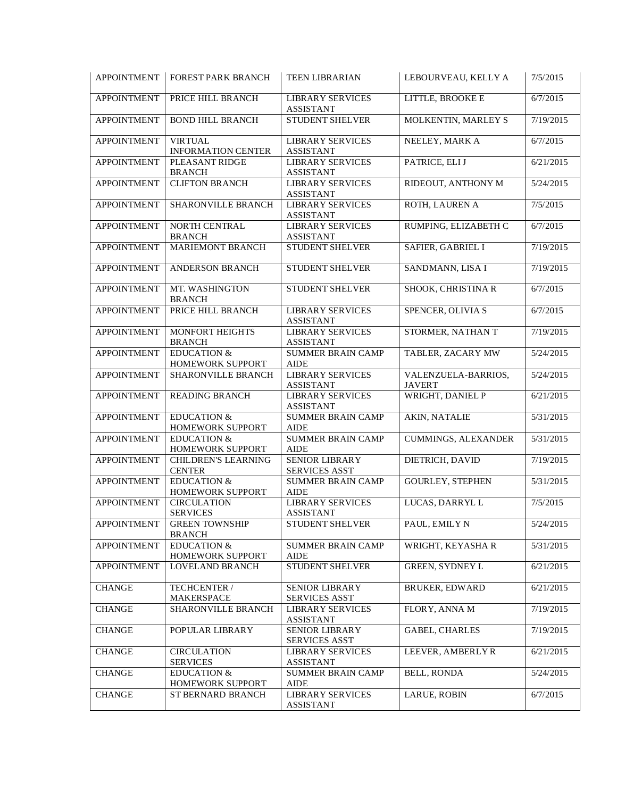| <b>APPOINTMENT</b> | <b>FOREST PARK BRANCH</b>                   | <b>TEEN LIBRARIAN</b>                         | LEBOURVEAU, KELLY A                  | 7/5/2015  |
|--------------------|---------------------------------------------|-----------------------------------------------|--------------------------------------|-----------|
| <b>APPOINTMENT</b> | PRICE HILL BRANCH                           | <b>LIBRARY SERVICES</b><br><b>ASSISTANT</b>   | LITTLE, BROOKE E                     | 6/7/2015  |
| <b>APPOINTMENT</b> | <b>BOND HILL BRANCH</b>                     | STUDENT SHELVER                               | MOLKENTIN, MARLEY S                  | 7/19/2015 |
| <b>APPOINTMENT</b> | <b>VIRTUAL</b><br><b>INFORMATION CENTER</b> | <b>LIBRARY SERVICES</b><br><b>ASSISTANT</b>   | NEELEY, MARK A                       | 6/7/2015  |
| <b>APPOINTMENT</b> | PLEASANT RIDGE<br><b>BRANCH</b>             | <b>LIBRARY SERVICES</b><br><b>ASSISTANT</b>   | PATRICE, ELI J                       | 6/21/2015 |
| <b>APPOINTMENT</b> | <b>CLIFTON BRANCH</b>                       | <b>LIBRARY SERVICES</b><br><b>ASSISTANT</b>   | RIDEOUT, ANTHONY M                   | 5/24/2015 |
| <b>APPOINTMENT</b> | SHARONVILLE BRANCH                          | <b>LIBRARY SERVICES</b><br><b>ASSISTANT</b>   | ROTH, LAUREN A                       | 7/5/2015  |
| <b>APPOINTMENT</b> | NORTH CENTRAL<br><b>BRANCH</b>              | <b>LIBRARY SERVICES</b><br><b>ASSISTANT</b>   | RUMPING, ELIZABETH C                 | 6/7/2015  |
| <b>APPOINTMENT</b> | MARIEMONT BRANCH                            | STUDENT SHELVER                               | SAFIER, GABRIEL I                    | 7/19/2015 |
| <b>APPOINTMENT</b> | ANDERSON BRANCH                             | STUDENT SHELVER                               | SANDMANN, LISA I                     | 7/19/2015 |
| <b>APPOINTMENT</b> | MT. WASHINGTON<br><b>BRANCH</b>             | STUDENT SHELVER                               | SHOOK, CHRISTINA R                   | 6/7/2015  |
| <b>APPOINTMENT</b> | PRICE HILL BRANCH                           | <b>LIBRARY SERVICES</b><br><b>ASSISTANT</b>   | SPENCER, OLIVIA S                    | 6/7/2015  |
| <b>APPOINTMENT</b> | MONFORT HEIGHTS<br><b>BRANCH</b>            | <b>LIBRARY SERVICES</b><br><b>ASSISTANT</b>   | STORMER, NATHAN T                    | 7/19/2015 |
| <b>APPOINTMENT</b> | <b>EDUCATION &amp;</b><br>HOMEWORK SUPPORT  | <b>SUMMER BRAIN CAMP</b><br><b>AIDE</b>       | TABLER, ZACARY MW                    | 5/24/2015 |
| <b>APPOINTMENT</b> | SHARONVILLE BRANCH                          | <b>LIBRARY SERVICES</b><br><b>ASSISTANT</b>   | VALENZUELA-BARRIOS,<br><b>JAVERT</b> | 5/24/2015 |
| <b>APPOINTMENT</b> | <b>READING BRANCH</b>                       | <b>LIBRARY SERVICES</b><br><b>ASSISTANT</b>   | WRIGHT, DANIEL P                     | 6/21/2015 |
| <b>APPOINTMENT</b> | <b>EDUCATION &amp;</b><br>HOMEWORK SUPPORT  | <b>SUMMER BRAIN CAMP</b><br><b>AIDE</b>       | <b>AKIN, NATALIE</b>                 | 5/31/2015 |
| <b>APPOINTMENT</b> | <b>EDUCATION &amp;</b><br>HOMEWORK SUPPORT  | <b>SUMMER BRAIN CAMP</b><br><b>AIDE</b>       | <b>CUMMINGS, ALEXANDER</b>           | 5/31/2015 |
| <b>APPOINTMENT</b> | <b>CHILDREN'S LEARNING</b><br><b>CENTER</b> | <b>SENIOR LIBRARY</b><br><b>SERVICES ASST</b> | DIETRICH, DAVID                      | 7/19/2015 |
| <b>APPOINTMENT</b> | <b>EDUCATION &amp;</b><br>HOMEWORK SUPPORT  | <b>SUMMER BRAIN CAMP</b><br><b>AIDE</b>       | <b>GOURLEY, STEPHEN</b>              | 5/31/2015 |
| <b>APPOINTMENT</b> | <b>CIRCULATION</b><br><b>SERVICES</b>       | <b>LIBRARY SERVICES</b><br><b>ASSISTANT</b>   | LUCAS, DARRYL L                      | 7/5/2015  |
| APPOINTMENT        | <b>GREEN TOWNSHIP</b><br><b>BRANCH</b>      | STUDENT SHELVER                               | PAUL, EMILY N                        | 5/24/2015 |
| <b>APPOINTMENT</b> | <b>EDUCATION &amp;</b><br>HOMEWORK SUPPORT  | SUMMER BRAIN CAMP<br>AIDE                     | WRIGHT, KEYASHA R                    | 5/31/2015 |
| <b>APPOINTMENT</b> | LOVELAND BRANCH                             | STUDENT SHELVER                               | <b>GREEN, SYDNEY L</b>               | 6/21/2015 |
| <b>CHANGE</b>      | TECHCENTER /<br>MAKERSPACE                  | <b>SENIOR LIBRARY</b><br><b>SERVICES ASST</b> | <b>BRUKER, EDWARD</b>                | 6/21/2015 |
| <b>CHANGE</b>      | SHARONVILLE BRANCH                          | <b>LIBRARY SERVICES</b><br><b>ASSISTANT</b>   | FLORY, ANNA M                        | 7/19/2015 |
| <b>CHANGE</b>      | POPULAR LIBRARY                             | <b>SENIOR LIBRARY</b><br><b>SERVICES ASST</b> | <b>GABEL, CHARLES</b>                | 7/19/2015 |
| <b>CHANGE</b>      | <b>CIRCULATION</b><br><b>SERVICES</b>       | <b>LIBRARY SERVICES</b><br><b>ASSISTANT</b>   | LEEVER, AMBERLY R                    | 6/21/2015 |
| <b>CHANGE</b>      | <b>EDUCATION &amp;</b><br>HOMEWORK SUPPORT  | <b>SUMMER BRAIN CAMP</b><br>AIDE              | <b>BELL, RONDA</b>                   | 5/24/2015 |
| <b>CHANGE</b>      | ST BERNARD BRANCH                           | <b>LIBRARY SERVICES</b><br><b>ASSISTANT</b>   | LARUE, ROBIN                         | 6/7/2015  |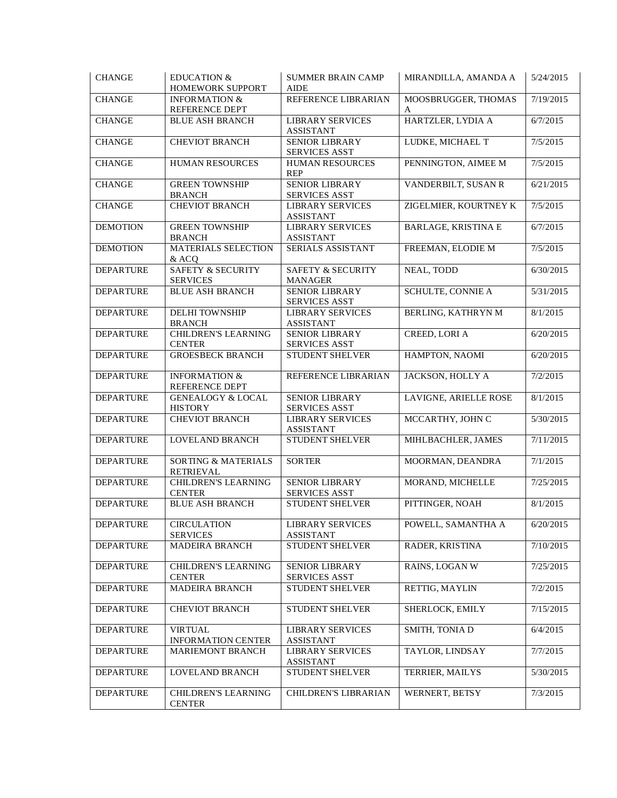| <b>CHANGE</b>    | <b>EDUCATION &amp;</b><br>HOMEWORK SUPPORT      | <b>SUMMER BRAIN CAMP</b><br><b>AIDE</b>        | MIRANDILLA, AMANDA A       | 5/24/2015 |
|------------------|-------------------------------------------------|------------------------------------------------|----------------------------|-----------|
| <b>CHANGE</b>    | <b>INFORMATION &amp;</b><br>REFERENCE DEPT      | REFERENCE LIBRARIAN                            | MOOSBRUGGER, THOMAS<br>A   | 7/19/2015 |
| <b>CHANGE</b>    | <b>BLUE ASH BRANCH</b>                          | <b>LIBRARY SERVICES</b><br><b>ASSISTANT</b>    | HARTZLER, LYDIA A          | 6/7/2015  |
| <b>CHANGE</b>    | <b>CHEVIOT BRANCH</b>                           | <b>SENIOR LIBRARY</b><br><b>SERVICES ASST</b>  | LUDKE, MICHAEL T           | 7/5/2015  |
| <b>CHANGE</b>    | HUMAN RESOURCES                                 | HUMAN RESOURCES<br><b>REP</b>                  | PENNINGTON, AIMEE M        | 7/5/2015  |
| <b>CHANGE</b>    | <b>GREEN TOWNSHIP</b><br><b>BRANCH</b>          | <b>SENIOR LIBRARY</b><br><b>SERVICES ASST</b>  | VANDERBILT, SUSAN R        | 6/21/2015 |
| <b>CHANGE</b>    | <b>CHEVIOT BRANCH</b>                           | <b>LIBRARY SERVICES</b><br><b>ASSISTANT</b>    | ZIGELMIER, KOURTNEY K      | 7/5/2015  |
| <b>DEMOTION</b>  | <b>GREEN TOWNSHIP</b><br><b>BRANCH</b>          | <b>LIBRARY SERVICES</b><br><b>ASSISTANT</b>    | <b>BARLAGE, KRISTINA E</b> | 6/7/2015  |
| <b>DEMOTION</b>  | <b>MATERIALS SELECTION</b><br>& ACQ             | SERIALS ASSISTANT                              | FREEMAN, ELODIE M          | 7/5/2015  |
| <b>DEPARTURE</b> | <b>SAFETY &amp; SECURITY</b><br><b>SERVICES</b> | <b>SAFETY &amp; SECURITY</b><br><b>MANAGER</b> | NEAL, TODD                 | 6/30/2015 |
| <b>DEPARTURE</b> | <b>BLUE ASH BRANCH</b>                          | <b>SENIOR LIBRARY</b><br><b>SERVICES ASST</b>  | SCHULTE, CONNIE A          | 5/31/2015 |
| <b>DEPARTURE</b> | <b>DELHI TOWNSHIP</b><br><b>BRANCH</b>          | <b>LIBRARY SERVICES</b><br><b>ASSISTANT</b>    | BERLING, KATHRYN M         | 8/1/2015  |
| <b>DEPARTURE</b> | <b>CHILDREN'S LEARNING</b><br><b>CENTER</b>     | <b>SENIOR LIBRARY</b><br><b>SERVICES ASST</b>  | CREED, LORI A              | 6/20/2015 |
| <b>DEPARTURE</b> | <b>GROESBECK BRANCH</b>                         | <b>STUDENT SHELVER</b>                         | HAMPTON, NAOMI             | 6/20/2015 |
| <b>DEPARTURE</b> | <b>INFORMATION &amp;</b><br>REFERENCE DEPT      | REFERENCE LIBRARIAN                            | JACKSON, HOLLY A           | 7/2/2015  |
| <b>DEPARTURE</b> | <b>GENEALOGY &amp; LOCAL</b><br><b>HISTORY</b>  | SENIOR LIBRARY<br><b>SERVICES ASST</b>         | LAVIGNE, ARIELLE ROSE      | 8/1/2015  |
| <b>DEPARTURE</b> | <b>CHEVIOT BRANCH</b>                           | <b>LIBRARY SERVICES</b><br><b>ASSISTANT</b>    | MCCARTHY, JOHN C           | 5/30/2015 |
| <b>DEPARTURE</b> | <b>LOVELAND BRANCH</b>                          | STUDENT SHELVER                                | MIHLBACHLER, JAMES         | 7/11/2015 |
| <b>DEPARTURE</b> | SORTING & MATERIALS<br><b>RETRIEVAL</b>         | <b>SORTER</b>                                  | MOORMAN, DEANDRA           | 7/1/2015  |
| <b>DEPARTURE</b> | CHILDREN'S LEARNING<br><b>CENTER</b>            | <b>SENIOR LIBRARY</b><br><b>SERVICES ASST</b>  | MORAND, MICHELLE           | 7/25/2015 |
| <b>DEPARTURE</b> | <b>BLUE ASH BRANCH</b>                          | STUDENT SHELVER                                | PITTINGER, NOAH            | 8/1/2015  |
| <b>DEPARTURE</b> | <b>CIRCULATION</b><br><b>SERVICES</b>           | <b>LIBRARY SERVICES</b><br><b>ASSISTANT</b>    | POWELL, SAMANTHA A         | 6/20/2015 |
| <b>DEPARTURE</b> | <b>MADEIRA BRANCH</b>                           | <b>STUDENT SHELVER</b>                         | RADER, KRISTINA            | 7/10/2015 |
| <b>DEPARTURE</b> | <b>CHILDREN'S LEARNING</b><br><b>CENTER</b>     | <b>SENIOR LIBRARY</b><br><b>SERVICES ASST</b>  | RAINS, LOGAN W             | 7/25/2015 |
| <b>DEPARTURE</b> | MADEIRA BRANCH                                  | STUDENT SHELVER                                | RETTIG, MAYLIN             | 7/2/2015  |
| <b>DEPARTURE</b> | <b>CHEVIOT BRANCH</b>                           | STUDENT SHELVER                                | SHERLOCK, EMILY            | 7/15/2015 |
| <b>DEPARTURE</b> | <b>VIRTUAL</b><br><b>INFORMATION CENTER</b>     | <b>LIBRARY SERVICES</b><br><b>ASSISTANT</b>    | SMITH, TONIA D             | 6/4/2015  |
| <b>DEPARTURE</b> | MARIEMONT BRANCH                                | <b>LIBRARY SERVICES</b><br><b>ASSISTANT</b>    | TAYLOR, LINDSAY            | 7/7/2015  |
| <b>DEPARTURE</b> | LOVELAND BRANCH                                 | STUDENT SHELVER                                | TERRIER, MAILYS            | 5/30/2015 |
| <b>DEPARTURE</b> | CHILDREN'S LEARNING<br><b>CENTER</b>            | CHILDREN'S LIBRARIAN                           | WERNERT, BETSY             | 7/3/2015  |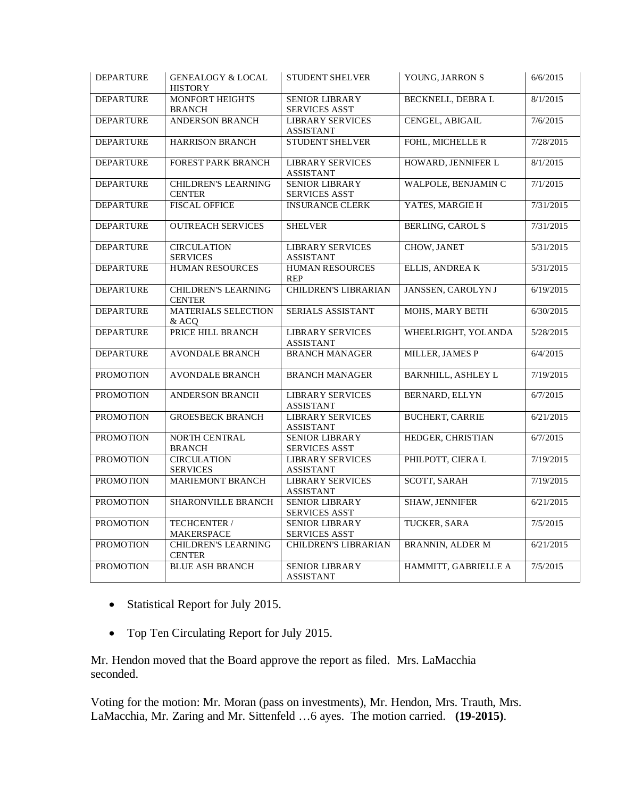| <b>DEPARTURE</b> | <b>GENEALOGY &amp; LOCAL</b><br><b>HISTORY</b> | <b>STUDENT SHELVER</b>                        | YOUNG, JARRON S         | 6/6/2015  |
|------------------|------------------------------------------------|-----------------------------------------------|-------------------------|-----------|
| <b>DEPARTURE</b> | MONFORT HEIGHTS<br><b>BRANCH</b>               | <b>SENIOR LIBRARY</b><br><b>SERVICES ASST</b> | BECKNELL, DEBRA L       | 8/1/2015  |
| <b>DEPARTURE</b> | ANDERSON BRANCH                                | <b>LIBRARY SERVICES</b><br><b>ASSISTANT</b>   | CENGEL, ABIGAIL         | 7/6/2015  |
| <b>DEPARTURE</b> | HARRISON BRANCH                                | STUDENT SHELVER                               | FOHL, MICHELLE R        | 7/28/2015 |
| <b>DEPARTURE</b> | <b>FOREST PARK BRANCH</b>                      | <b>LIBRARY SERVICES</b><br><b>ASSISTANT</b>   | HOWARD, JENNIFER L      | 8/1/2015  |
| <b>DEPARTURE</b> | <b>CHILDREN'S LEARNING</b><br><b>CENTER</b>    | <b>SENIOR LIBRARY</b><br><b>SERVICES ASST</b> | WALPOLE, BENJAMIN C     | 7/1/2015  |
| <b>DEPARTURE</b> | <b>FISCAL OFFICE</b>                           | <b>INSURANCE CLERK</b>                        | YATES, MARGIE H         | 7/31/2015 |
| <b>DEPARTURE</b> | <b>OUTREACH SERVICES</b>                       | <b>SHELVER</b>                                | <b>BERLING, CAROL S</b> | 7/31/2015 |
| <b>DEPARTURE</b> | <b>CIRCULATION</b><br><b>SERVICES</b>          | <b>LIBRARY SERVICES</b><br><b>ASSISTANT</b>   | CHOW, JANET             | 5/31/2015 |
| <b>DEPARTURE</b> | <b>HUMAN RESOURCES</b>                         | <b>HUMAN RESOURCES</b><br><b>REP</b>          | ELLIS, ANDREA K         | 5/31/2015 |
| <b>DEPARTURE</b> | <b>CHILDREN'S LEARNING</b><br><b>CENTER</b>    | CHILDREN'S LIBRARIAN                          | JANSSEN, CAROLYN J      | 6/19/2015 |
| <b>DEPARTURE</b> | <b>MATERIALS SELECTION</b><br>& ACO            | SERIALS ASSISTANT                             | MOHS, MARY BETH         | 6/30/2015 |
| <b>DEPARTURE</b> | PRICE HILL BRANCH                              | <b>LIBRARY SERVICES</b><br><b>ASSISTANT</b>   | WHEELRIGHT, YOLANDA     | 5/28/2015 |
| <b>DEPARTURE</b> | <b>AVONDALE BRANCH</b>                         | <b>BRANCH MANAGER</b>                         | MILLER, JAMES P         | 6/4/2015  |
| <b>PROMOTION</b> | <b>AVONDALE BRANCH</b>                         | <b>BRANCH MANAGER</b>                         | BARNHILL, ASHLEY L      | 7/19/2015 |
| <b>PROMOTION</b> | ANDERSON BRANCH                                | <b>LIBRARY SERVICES</b><br><b>ASSISTANT</b>   | BERNARD, ELLYN          | 6/7/2015  |
| <b>PROMOTION</b> | <b>GROESBECK BRANCH</b>                        | <b>LIBRARY SERVICES</b><br><b>ASSISTANT</b>   | <b>BUCHERT, CARRIE</b>  | 6/21/2015 |
| <b>PROMOTION</b> | NORTH CENTRAL<br><b>BRANCH</b>                 | <b>SENIOR LIBRARY</b><br>SERVICES ASST        | HEDGER, CHRISTIAN       | 6/7/2015  |
| <b>PROMOTION</b> | <b>CIRCULATION</b><br><b>SERVICES</b>          | <b>LIBRARY SERVICES</b><br><b>ASSISTANT</b>   | PHILPOTT, CIERA L       | 7/19/2015 |
| <b>PROMOTION</b> | <b>MARIEMONT BRANCH</b>                        | <b>LIBRARY SERVICES</b><br><b>ASSISTANT</b>   | <b>SCOTT, SARAH</b>     | 7/19/2015 |
| <b>PROMOTION</b> | SHARONVILLE BRANCH                             | <b>SENIOR LIBRARY</b><br><b>SERVICES ASST</b> | SHAW, JENNIFER          | 6/21/2015 |
| <b>PROMOTION</b> | TECHCENTER /<br><b>MAKERSPACE</b>              | <b>SENIOR LIBRARY</b><br><b>SERVICES ASST</b> | TUCKER, SARA            | 7/5/2015  |
| <b>PROMOTION</b> | <b>CHILDREN'S LEARNING</b><br><b>CENTER</b>    | <b>CHILDREN'S LIBRARIAN</b>                   | <b>BRANNIN, ALDER M</b> | 6/21/2015 |
| <b>PROMOTION</b> | <b>BLUE ASH BRANCH</b>                         | <b>SENIOR LIBRARY</b><br><b>ASSISTANT</b>     | HAMMITT, GABRIELLE A    | 7/5/2015  |

- Statistical Report for July 2015.
- Top Ten Circulating Report for July 2015.

Mr. Hendon moved that the Board approve the report as filed. Mrs. LaMacchia seconded.

Voting for the motion: Mr. Moran (pass on investments), Mr. Hendon, Mrs. Trauth, Mrs. LaMacchia, Mr. Zaring and Mr. Sittenfeld …6 ayes. The motion carried. **(19-2015)**.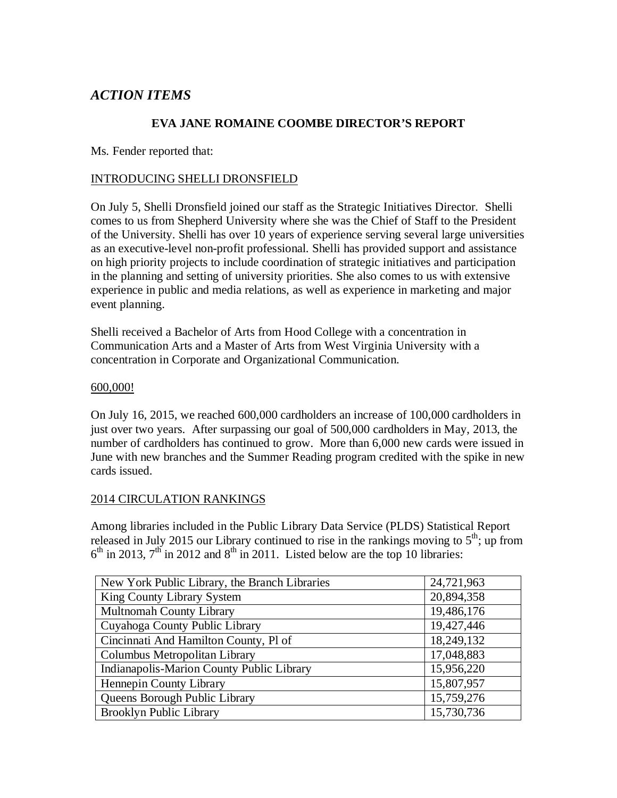# *ACTION ITEMS*

#### **EVA JANE ROMAINE COOMBE DIRECTOR'S REPORT**

Ms. Fender reported that:

#### INTRODUCING SHELLI DRONSFIELD

On July 5, Shelli Dronsfield joined our staff as the Strategic Initiatives Director. Shelli comes to us from Shepherd University where she was the Chief of Staff to the President of the University. Shelli has over 10 years of experience serving several large universities as an executive-level non-profit professional. Shelli has provided support and assistance on high priority projects to include coordination of strategic initiatives and participation in the planning and setting of university priorities. She also comes to us with extensive experience in public and media relations, as well as experience in marketing and major event planning.

Shelli received a Bachelor of Arts from Hood College with a concentration in Communication Arts and a Master of Arts from West Virginia University with a concentration in Corporate and Organizational Communication.

#### 600,000!

On July 16, 2015, we reached 600,000 cardholders an increase of 100,000 cardholders in just over two years. After surpassing our goal of 500,000 cardholders in May, 2013, the number of cardholders has continued to grow. More than 6,000 new cards were issued in June with new branches and the Summer Reading program credited with the spike in new cards issued.

#### 2014 CIRCULATION RANKINGS

Among libraries included in the Public Library Data Service (PLDS) Statistical Report released in July 2015 our Library continued to rise in the rankings moving to  $5<sup>th</sup>$ ; up from  $6<sup>th</sup>$  in 2013,  $7<sup>th</sup>$  in 2012 and  $8<sup>th</sup>$  in 2011. Listed below are the top 10 libraries:

| New York Public Library, the Branch Libraries | 24,721,963 |
|-----------------------------------------------|------------|
| King County Library System                    | 20,894,358 |
| <b>Multnomah County Library</b>               | 19,486,176 |
| Cuyahoga County Public Library                | 19,427,446 |
| Cincinnati And Hamilton County, Pl of         | 18,249,132 |
| Columbus Metropolitan Library                 | 17,048,883 |
| Indianapolis-Marion County Public Library     | 15,956,220 |
| Hennepin County Library                       | 15,807,957 |
| Queens Borough Public Library                 | 15,759,276 |
| Brooklyn Public Library                       | 15,730,736 |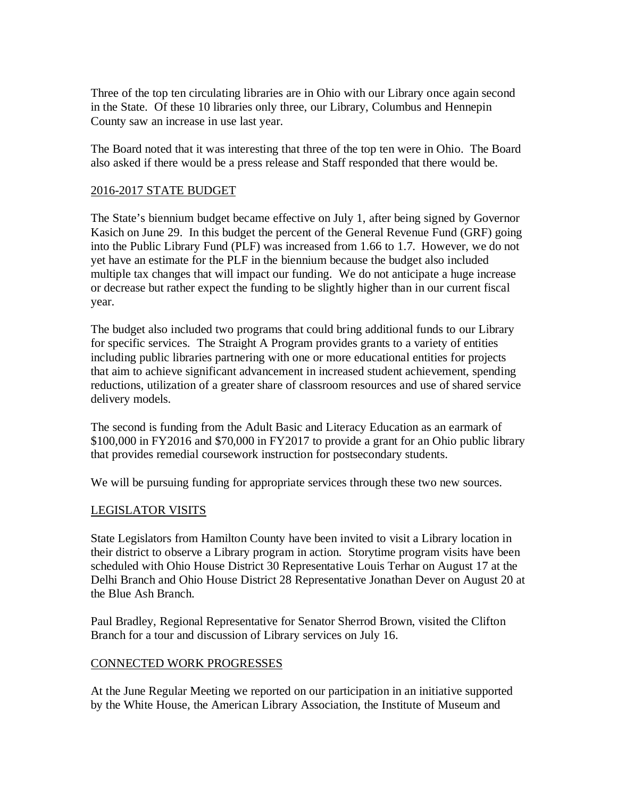Three of the top ten circulating libraries are in Ohio with our Library once again second in the State. Of these 10 libraries only three, our Library, Columbus and Hennepin County saw an increase in use last year.

The Board noted that it was interesting that three of the top ten were in Ohio. The Board also asked if there would be a press release and Staff responded that there would be.

#### 2016-2017 STATE BUDGET

The State's biennium budget became effective on July 1, after being signed by Governor Kasich on June 29. In this budget the percent of the General Revenue Fund (GRF) going into the Public Library Fund (PLF) was increased from 1.66 to 1.7. However, we do not yet have an estimate for the PLF in the biennium because the budget also included multiple tax changes that will impact our funding. We do not anticipate a huge increase or decrease but rather expect the funding to be slightly higher than in our current fiscal year.

The budget also included two programs that could bring additional funds to our Library for specific services. The Straight A Program provides grants to a variety of entities including public libraries partnering with one or more educational entities for projects that aim to achieve significant advancement in increased student achievement, spending reductions, utilization of a greater share of classroom resources and use of shared service delivery models.

The second is funding from the Adult Basic and Literacy Education as an earmark of \$100,000 in FY2016 and \$70,000 in FY2017 to provide a grant for an Ohio public library that provides remedial coursework instruction for postsecondary students.

We will be pursuing funding for appropriate services through these two new sources.

#### LEGISLATOR VISITS

State Legislators from Hamilton County have been invited to visit a Library location in their district to observe a Library program in action. Storytime program visits have been scheduled with Ohio House District 30 Representative Louis Terhar on August 17 at the Delhi Branch and Ohio House District 28 Representative Jonathan Dever on August 20 at the Blue Ash Branch.

Paul Bradley, Regional Representative for Senator Sherrod Brown, visited the Clifton Branch for a tour and discussion of Library services on July 16.

#### CONNECTED WORK PROGRESSES

At the June Regular Meeting we reported on our participation in an initiative supported by the White House, the American Library Association, the Institute of Museum and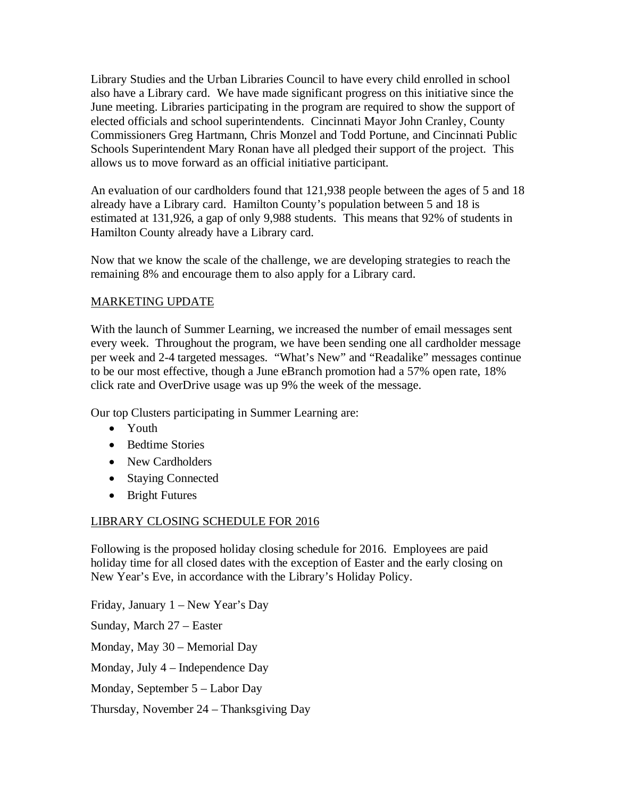Library Studies and the Urban Libraries Council to have every child enrolled in school also have a Library card. We have made significant progress on this initiative since the June meeting. Libraries participating in the program are required to show the support of elected officials and school superintendents. Cincinnati Mayor John Cranley, County Commissioners Greg Hartmann, Chris Monzel and Todd Portune, and Cincinnati Public Schools Superintendent Mary Ronan have all pledged their support of the project. This allows us to move forward as an official initiative participant.

An evaluation of our cardholders found that 121,938 people between the ages of 5 and 18 already have a Library card. Hamilton County's population between 5 and 18 is estimated at 131,926, a gap of only 9,988 students. This means that 92% of students in Hamilton County already have a Library card.

Now that we know the scale of the challenge, we are developing strategies to reach the remaining 8% and encourage them to also apply for a Library card.

#### MARKETING UPDATE

With the launch of Summer Learning, we increased the number of email messages sent every week. Throughout the program, we have been sending one all cardholder message per week and 2-4 targeted messages. "What's New" and "Readalike" messages continue to be our most effective, though a June eBranch promotion had a 57% open rate, 18% click rate and OverDrive usage was up 9% the week of the message.

Our top Clusters participating in Summer Learning are:

- Youth
- Bedtime Stories
- New Cardholders
- Staying Connected
- Bright Futures

## LIBRARY CLOSING SCHEDULE FOR 2016

Following is the proposed holiday closing schedule for 2016. Employees are paid holiday time for all closed dates with the exception of Easter and the early closing on New Year's Eve, in accordance with the Library's Holiday Policy.

Friday, January 1 – New Year's Day Sunday, March 27 – Easter Monday, May 30 – Memorial Day Monday, July 4 – Independence Day Monday, September 5 – Labor Day Thursday, November 24 – Thanksgiving Day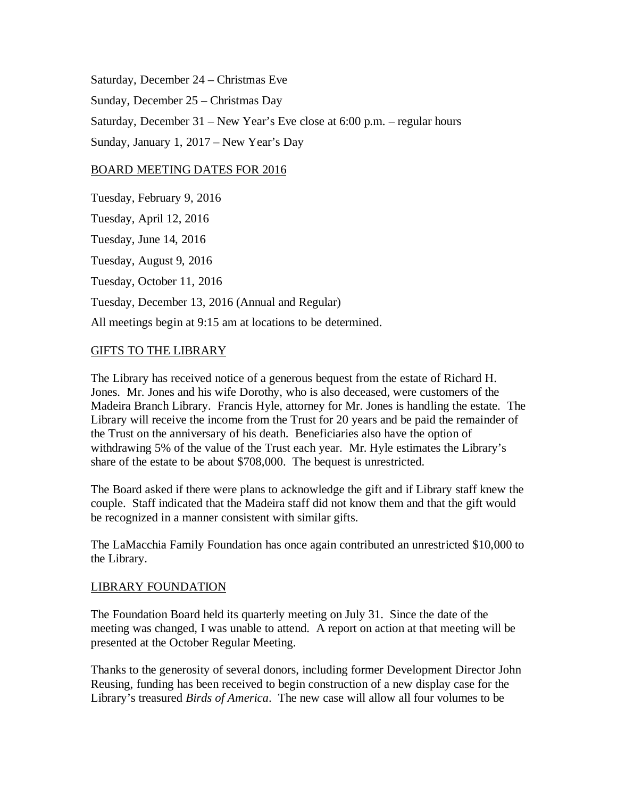Saturday, December 24 – Christmas Eve Sunday, December 25 – Christmas Day Saturday, December 31 – New Year's Eve close at 6:00 p.m. – regular hours Sunday, January 1, 2017 – New Year's Day

#### BOARD MEETING DATES FOR 2016

Tuesday, February 9, 2016 Tuesday, April 12, 2016 Tuesday, June 14, 2016 Tuesday, August 9, 2016 Tuesday, October 11, 2016 Tuesday, December 13, 2016 (Annual and Regular) All meetings begin at 9:15 am at locations to be determined.

#### GIFTS TO THE LIBRARY

The Library has received notice of a generous bequest from the estate of Richard H. Jones. Mr. Jones and his wife Dorothy, who is also deceased, were customers of the Madeira Branch Library. Francis Hyle, attorney for Mr. Jones is handling the estate. The Library will receive the income from the Trust for 20 years and be paid the remainder of the Trust on the anniversary of his death. Beneficiaries also have the option of withdrawing 5% of the value of the Trust each year. Mr. Hyle estimates the Library's share of the estate to be about \$708,000. The bequest is unrestricted.

The Board asked if there were plans to acknowledge the gift and if Library staff knew the couple. Staff indicated that the Madeira staff did not know them and that the gift would be recognized in a manner consistent with similar gifts.

The LaMacchia Family Foundation has once again contributed an unrestricted \$10,000 to the Library.

#### LIBRARY FOUNDATION

The Foundation Board held its quarterly meeting on July 31. Since the date of the meeting was changed, I was unable to attend. A report on action at that meeting will be presented at the October Regular Meeting.

Thanks to the generosity of several donors, including former Development Director John Reusing, funding has been received to begin construction of a new display case for the Library's treasured *Birds of America*. The new case will allow all four volumes to be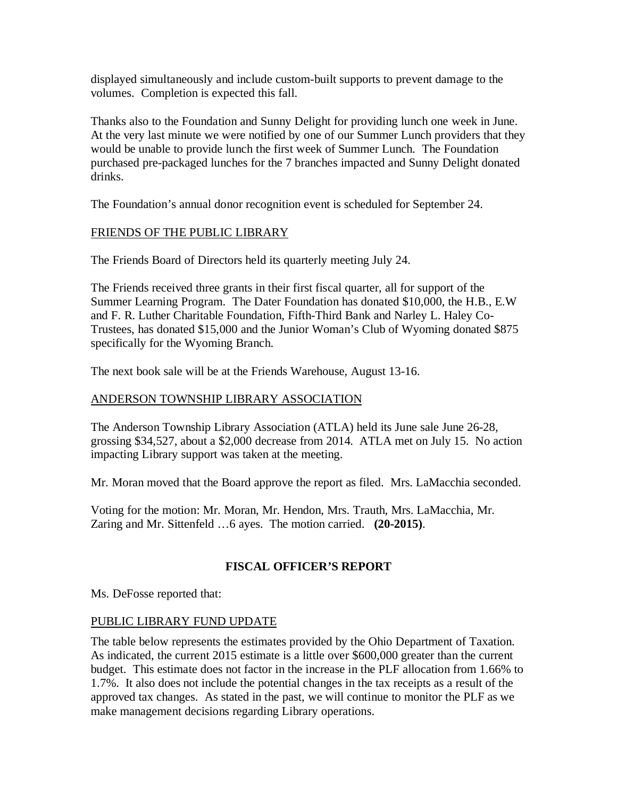displayed simultaneously and include custom-built supports to prevent damage to the volumes. Completion is expected this fall.

Thanks also to the Foundation and Sunny Delight for providing lunch one week in June. At the very last minute we were notified by one of our Summer Lunch providers that they would be unable to provide lunch the first week of Summer Lunch. The Foundation purchased pre-packaged lunches for the 7 branches impacted and Sunny Delight donated drinks.

The Foundation's annual donor recognition event is scheduled for September 24.

## FRIENDS OF THE PUBLIC LIBRARY

The Friends Board of Directors held its quarterly meeting July 24.

The Friends received three grants in their first fiscal quarter, all for support of the Summer Learning Program. The Dater Foundation has donated \$10,000, the H.B., E.W and F. R. Luther Charitable Foundation, Fifth-Third Bank and Narley L. Haley Co-Trustees, has donated \$15,000 and the Junior Woman's Club of Wyoming donated \$875 specifically for the Wyoming Branch.

The next book sale will be at the Friends Warehouse, August 13-16.

#### ANDERSON TOWNSHIP LIBRARY ASSOCIATION

The Anderson Township Library Association (ATLA) held its June sale June 26-28, grossing \$34,527, about a \$2,000 decrease from 2014. ATLA met on July 15. No action impacting Library support was taken at the meeting.

Mr. Moran moved that the Board approve the report as filed. Mrs. LaMacchia seconded.

Voting for the motion: Mr. Moran, Mr. Hendon, Mrs. Trauth, Mrs. LaMacchia, Mr. Zaring and Mr. Sittenfeld …6 ayes. The motion carried. **(20-2015)**.

## **FISCAL OFFICER'S REPORT**

Ms. DeFosse reported that:

## PUBLIC LIBRARY FUND UPDATE

The table below represents the estimates provided by the Ohio Department of Taxation. As indicated, the current 2015 estimate is a little over \$600,000 greater than the current budget. This estimate does not factor in the increase in the PLF allocation from 1.66% to 1.7%. It also does not include the potential changes in the tax receipts as a result of the approved tax changes. As stated in the past, we will continue to monitor the PLF as we make management decisions regarding Library operations.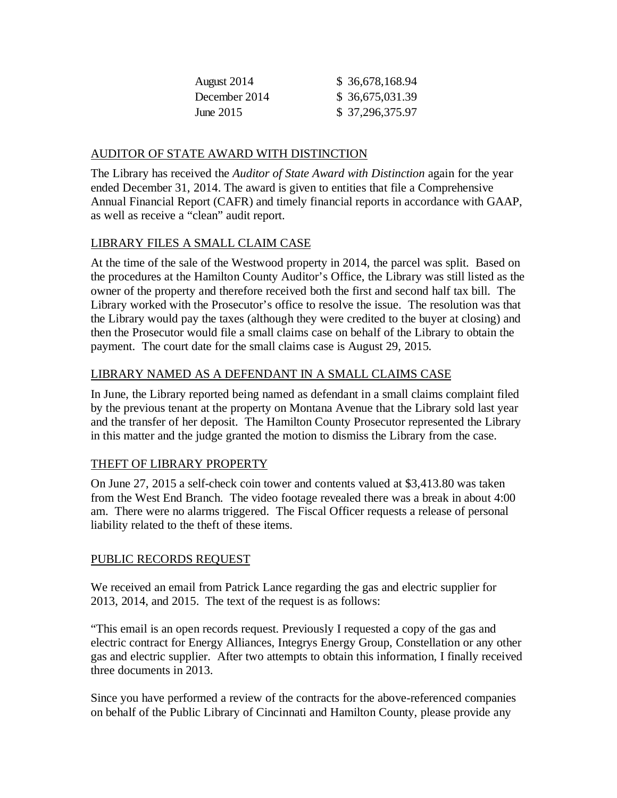| \$ 36,678,168.94 |
|------------------|
| \$36,675,031.39  |
| \$37,296,375.97  |
|                  |

## AUDITOR OF STATE AWARD WITH DISTINCTION

The Library has received the *Auditor of State Award with Distinction* again for the year ended December 31, 2014. The award is given to entities that file a Comprehensive Annual Financial Report (CAFR) and timely financial reports in accordance with GAAP, as well as receive a "clean" audit report.

## LIBRARY FILES A SMALL CLAIM CASE

At the time of the sale of the Westwood property in 2014, the parcel was split. Based on the procedures at the Hamilton County Auditor's Office, the Library was still listed as the owner of the property and therefore received both the first and second half tax bill. The Library worked with the Prosecutor's office to resolve the issue. The resolution was that the Library would pay the taxes (although they were credited to the buyer at closing) and then the Prosecutor would file a small claims case on behalf of the Library to obtain the payment. The court date for the small claims case is August 29, 2015.

## LIBRARY NAMED AS A DEFENDANT IN A SMALL CLAIMS CASE

In June, the Library reported being named as defendant in a small claims complaint filed by the previous tenant at the property on Montana Avenue that the Library sold last year and the transfer of her deposit. The Hamilton County Prosecutor represented the Library in this matter and the judge granted the motion to dismiss the Library from the case.

## THEFT OF LIBRARY PROPERTY

On June 27, 2015 a self-check coin tower and contents valued at \$3,413.80 was taken from the West End Branch. The video footage revealed there was a break in about 4:00 am. There were no alarms triggered. The Fiscal Officer requests a release of personal liability related to the theft of these items.

## PUBLIC RECORDS REQUEST

We received an email from Patrick Lance regarding the gas and electric supplier for 2013, 2014, and 2015. The text of the request is as follows:

"This email is an open records request. Previously I requested a copy of the gas and electric contract for Energy Alliances, Integrys Energy Group, Constellation or any other gas and electric supplier. After two attempts to obtain this information, I finally received three documents in 2013.

Since you have performed a review of the contracts for the above-referenced companies on behalf of the Public Library of Cincinnati and Hamilton County, please provide any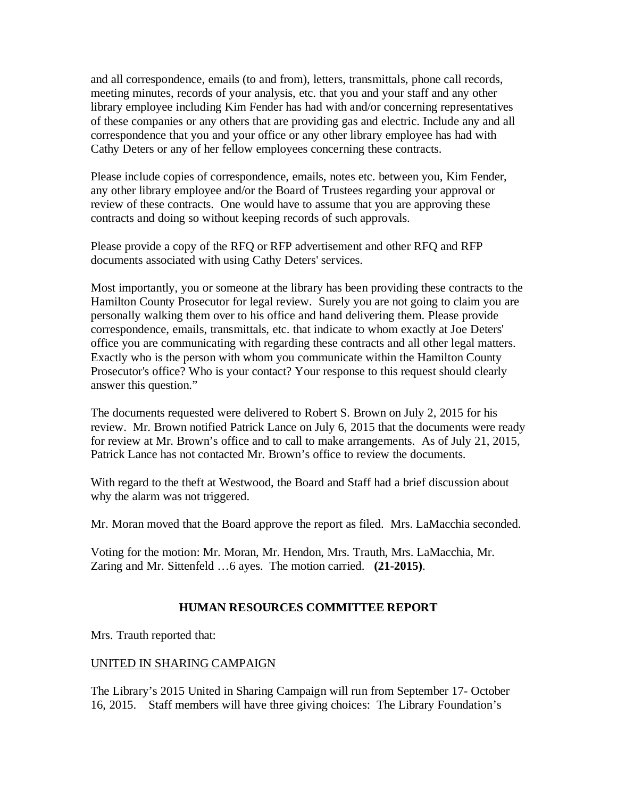and all correspondence, emails (to and from), letters, transmittals, phone call records, meeting minutes, records of your analysis, etc. that you and your staff and any other library employee including Kim Fender has had with and/or concerning representatives of these companies or any others that are providing gas and electric. Include any and all correspondence that you and your office or any other library employee has had with Cathy Deters or any of her fellow employees concerning these contracts.

Please include copies of correspondence, emails, notes etc. between you, Kim Fender, any other library employee and/or the Board of Trustees regarding your approval or review of these contracts. One would have to assume that you are approving these contracts and doing so without keeping records of such approvals.

Please provide a copy of the RFQ or RFP advertisement and other RFQ and RFP documents associated with using Cathy Deters' services.

Most importantly, you or someone at the library has been providing these contracts to the Hamilton County Prosecutor for legal review. Surely you are not going to claim you are personally walking them over to his office and hand delivering them. Please provide correspondence, emails, transmittals, etc. that indicate to whom exactly at Joe Deters' office you are communicating with regarding these contracts and all other legal matters. Exactly who is the person with whom you communicate within the Hamilton County Prosecutor's office? Who is your contact? Your response to this request should clearly answer this question."

The documents requested were delivered to Robert S. Brown on July 2, 2015 for his review. Mr. Brown notified Patrick Lance on July 6, 2015 that the documents were ready for review at Mr. Brown's office and to call to make arrangements. As of July 21, 2015, Patrick Lance has not contacted Mr. Brown's office to review the documents.

With regard to the theft at Westwood, the Board and Staff had a brief discussion about why the alarm was not triggered.

Mr. Moran moved that the Board approve the report as filed. Mrs. LaMacchia seconded.

Voting for the motion: Mr. Moran, Mr. Hendon, Mrs. Trauth, Mrs. LaMacchia, Mr. Zaring and Mr. Sittenfeld …6 ayes. The motion carried. **(21-2015)**.

## **HUMAN RESOURCES COMMITTEE REPORT**

Mrs. Trauth reported that:

## UNITED IN SHARING CAMPAIGN

The Library's 2015 United in Sharing Campaign will run from September 17- October 16, 2015. Staff members will have three giving choices: The Library Foundation's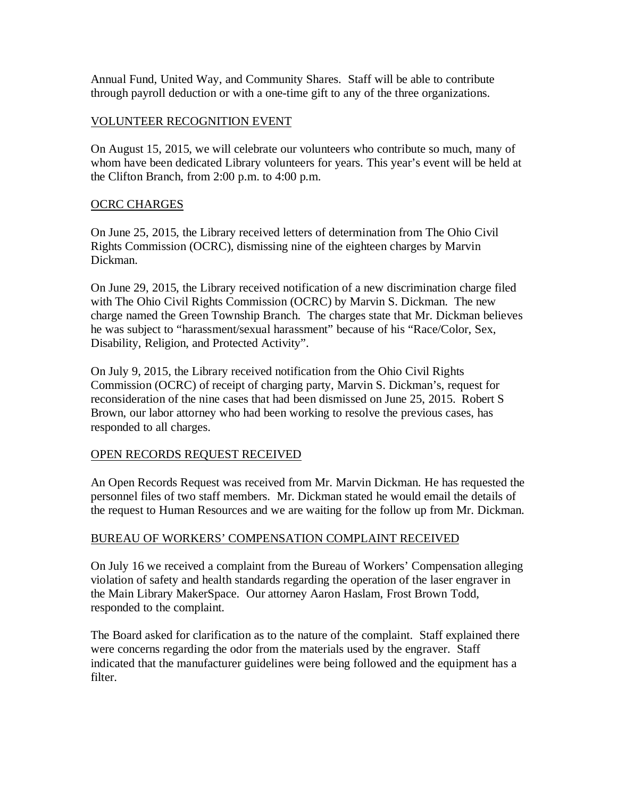Annual Fund, United Way, and Community Shares. Staff will be able to contribute through payroll deduction or with a one-time gift to any of the three organizations.

#### VOLUNTEER RECOGNITION EVENT

On August 15, 2015, we will celebrate our volunteers who contribute so much, many of whom have been dedicated Library volunteers for years. This year's event will be held at the Clifton Branch, from 2:00 p.m. to 4:00 p.m.

#### OCRC CHARGES

On June 25, 2015, the Library received letters of determination from The Ohio Civil Rights Commission (OCRC), dismissing nine of the eighteen charges by Marvin Dickman.

On June 29, 2015, the Library received notification of a new discrimination charge filed with The Ohio Civil Rights Commission (OCRC) by Marvin S. Dickman. The new charge named the Green Township Branch. The charges state that Mr. Dickman believes he was subject to "harassment/sexual harassment" because of his "Race/Color, Sex, Disability, Religion, and Protected Activity".

On July 9, 2015, the Library received notification from the Ohio Civil Rights Commission (OCRC) of receipt of charging party, Marvin S. Dickman's, request for reconsideration of the nine cases that had been dismissed on June 25, 2015. Robert S Brown, our labor attorney who had been working to resolve the previous cases, has responded to all charges.

## OPEN RECORDS REQUEST RECEIVED

An Open Records Request was received from Mr. Marvin Dickman. He has requested the personnel files of two staff members. Mr. Dickman stated he would email the details of the request to Human Resources and we are waiting for the follow up from Mr. Dickman.

#### BUREAU OF WORKERS' COMPENSATION COMPLAINT RECEIVED

On July 16 we received a complaint from the Bureau of Workers' Compensation alleging violation of safety and health standards regarding the operation of the laser engraver in the Main Library MakerSpace. Our attorney Aaron Haslam, Frost Brown Todd, responded to the complaint.

The Board asked for clarification as to the nature of the complaint. Staff explained there were concerns regarding the odor from the materials used by the engraver. Staff indicated that the manufacturer guidelines were being followed and the equipment has a filter.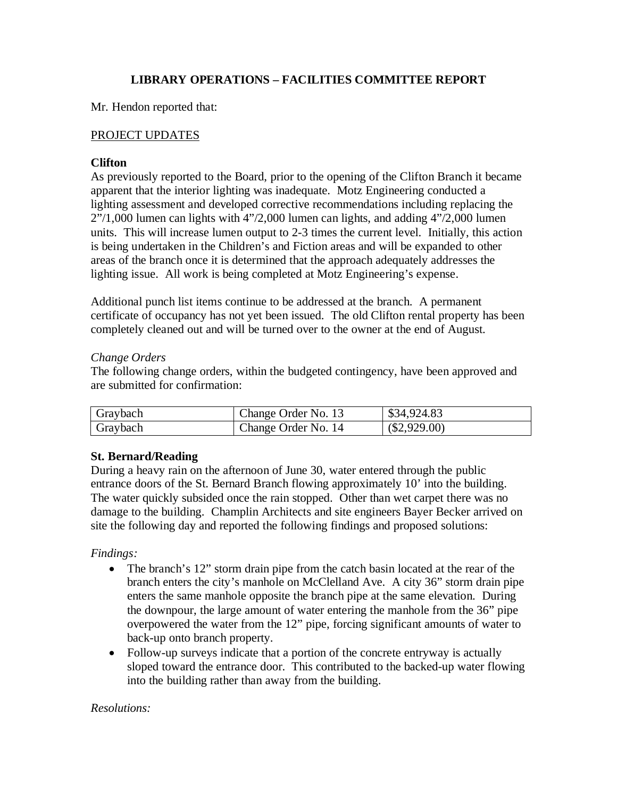## **LIBRARY OPERATIONS – FACILITIES COMMITTEE REPORT**

Mr. Hendon reported that:

## PROJECT UPDATES

## **Clifton**

As previously reported to the Board, prior to the opening of the Clifton Branch it became apparent that the interior lighting was inadequate. Motz Engineering conducted a lighting assessment and developed corrective recommendations including replacing the 2"/1,000 lumen can lights with 4"/2,000 lumen can lights, and adding 4"/2,000 lumen units. This will increase lumen output to 2-3 times the current level. Initially, this action is being undertaken in the Children's and Fiction areas and will be expanded to other areas of the branch once it is determined that the approach adequately addresses the lighting issue. All work is being completed at Motz Engineering's expense.

Additional punch list items continue to be addressed at the branch. A permanent certificate of occupancy has not yet been issued. The old Clifton rental property has been completely cleaned out and will be turned over to the owner at the end of August.

## *Change Orders*

The following change orders, within the budgeted contingency, have been approved and are submitted for confirmation:

| Graybach | Change Order No. 13 | \$34,924.83    |
|----------|---------------------|----------------|
| Graybach | Change Order No. 14 | $(\$2,929.00)$ |

## **St. Bernard/Reading**

During a heavy rain on the afternoon of June 30, water entered through the public entrance doors of the St. Bernard Branch flowing approximately 10' into the building. The water quickly subsided once the rain stopped. Other than wet carpet there was no damage to the building. Champlin Architects and site engineers Bayer Becker arrived on site the following day and reported the following findings and proposed solutions:

# *Findings:*

- The branch's 12" storm drain pipe from the catch basin located at the rear of the branch enters the city's manhole on McClelland Ave. A city 36" storm drain pipe enters the same manhole opposite the branch pipe at the same elevation. During the downpour, the large amount of water entering the manhole from the 36" pipe overpowered the water from the 12" pipe, forcing significant amounts of water to back-up onto branch property.
- Follow-up surveys indicate that a portion of the concrete entryway is actually sloped toward the entrance door. This contributed to the backed-up water flowing into the building rather than away from the building.

## *Resolutions:*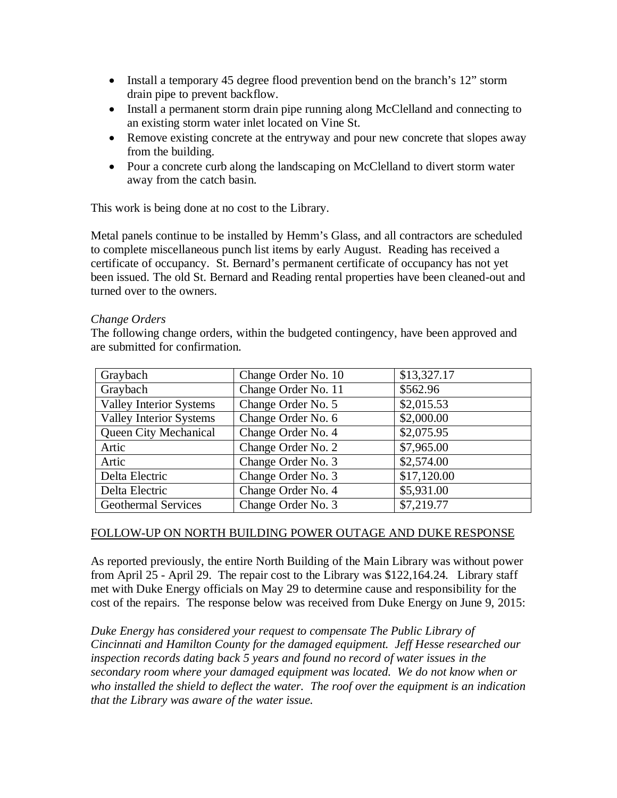- Install a temporary 45 degree flood prevention bend on the branch's 12" storm drain pipe to prevent backflow.
- Install a permanent storm drain pipe running along McClelland and connecting to an existing storm water inlet located on Vine St.
- Remove existing concrete at the entryway and pour new concrete that slopes away from the building.
- Pour a concrete curb along the landscaping on McClelland to divert storm water away from the catch basin.

This work is being done at no cost to the Library.

Metal panels continue to be installed by Hemm's Glass, and all contractors are scheduled to complete miscellaneous punch list items by early August. Reading has received a certificate of occupancy. St. Bernard's permanent certificate of occupancy has not yet been issued. The old St. Bernard and Reading rental properties have been cleaned-out and turned over to the owners.

#### *Change Orders*

The following change orders, within the budgeted contingency, have been approved and are submitted for confirmation.

| Graybach                       | Change Order No. 10 | \$13,327.17 |
|--------------------------------|---------------------|-------------|
| Graybach                       | Change Order No. 11 | \$562.96    |
| <b>Valley Interior Systems</b> | Change Order No. 5  | \$2,015.53  |
| <b>Valley Interior Systems</b> | Change Order No. 6  | \$2,000.00  |
| <b>Queen City Mechanical</b>   | Change Order No. 4  | \$2,075.95  |
| Artic                          | Change Order No. 2  | \$7,965.00  |
| Artic                          | Change Order No. 3  | \$2,574.00  |
| Delta Electric                 | Change Order No. 3  | \$17,120.00 |
| Delta Electric                 | Change Order No. 4  | \$5,931.00  |
| <b>Geothermal Services</b>     | Change Order No. 3  | \$7,219.77  |

#### FOLLOW-UP ON NORTH BUILDING POWER OUTAGE AND DUKE RESPONSE

As reported previously, the entire North Building of the Main Library was without power from April 25 - April 29. The repair cost to the Library was \$122,164.24. Library staff met with Duke Energy officials on May 29 to determine cause and responsibility for the cost of the repairs. The response below was received from Duke Energy on June 9, 2015:

*Duke Energy has considered your request to compensate The Public Library of Cincinnati and Hamilton County for the damaged equipment. Jeff Hesse researched our inspection records dating back 5 years and found no record of water issues in the secondary room where your damaged equipment was located. We do not know when or who installed the shield to deflect the water. The roof over the equipment is an indication that the Library was aware of the water issue.*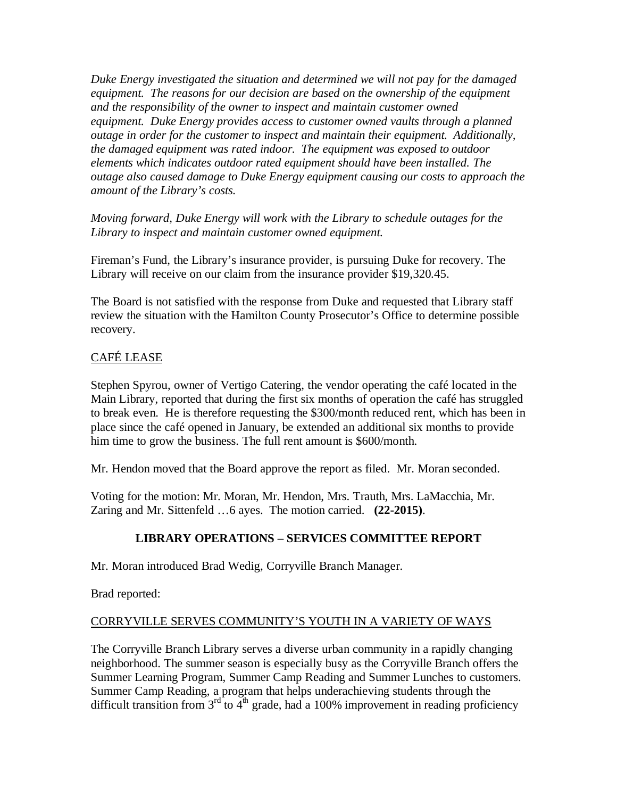*Duke Energy investigated the situation and determined we will not pay for the damaged equipment. The reasons for our decision are based on the ownership of the equipment and the responsibility of the owner to inspect and maintain customer owned equipment. Duke Energy provides access to customer owned vaults through a planned outage in order for the customer to inspect and maintain their equipment. Additionally, the damaged equipment was rated indoor. The equipment was exposed to outdoor elements which indicates outdoor rated equipment should have been installed. The outage also caused damage to Duke Energy equipment causing our costs to approach the amount of the Library's costs.*

*Moving forward, Duke Energy will work with the Library to schedule outages for the Library to inspect and maintain customer owned equipment.*

Fireman's Fund, the Library's insurance provider, is pursuing Duke for recovery. The Library will receive on our claim from the insurance provider \$19,320.45.

The Board is not satisfied with the response from Duke and requested that Library staff review the situation with the Hamilton County Prosecutor's Office to determine possible recovery.

# CAFÉ LEASE

Stephen Spyrou, owner of Vertigo Catering, the vendor operating the café located in the Main Library, reported that during the first six months of operation the café has struggled to break even. He is therefore requesting the \$300/month reduced rent, which has been in place since the café opened in January, be extended an additional six months to provide him time to grow the business. The full rent amount is \$600/month.

Mr. Hendon moved that the Board approve the report as filed. Mr. Moran seconded.

Voting for the motion: Mr. Moran, Mr. Hendon, Mrs. Trauth, Mrs. LaMacchia, Mr. Zaring and Mr. Sittenfeld …6 ayes. The motion carried. **(22-2015)**.

# **LIBRARY OPERATIONS – SERVICES COMMITTEE REPORT**

Mr. Moran introduced Brad Wedig, Corryville Branch Manager.

Brad reported:

# CORRYVILLE SERVES COMMUNITY'S YOUTH IN A VARIETY OF WAYS

The Corryville Branch Library serves a diverse urban community in a rapidly changing neighborhood. The summer season is especially busy as the Corryville Branch offers the Summer Learning Program, Summer Camp Reading and Summer Lunches to customers. Summer Camp Reading, a program that helps underachieving students through the difficult transition from  $3<sup>rd</sup>$  to  $4<sup>th</sup>$  grade, had a 100% improvement in reading proficiency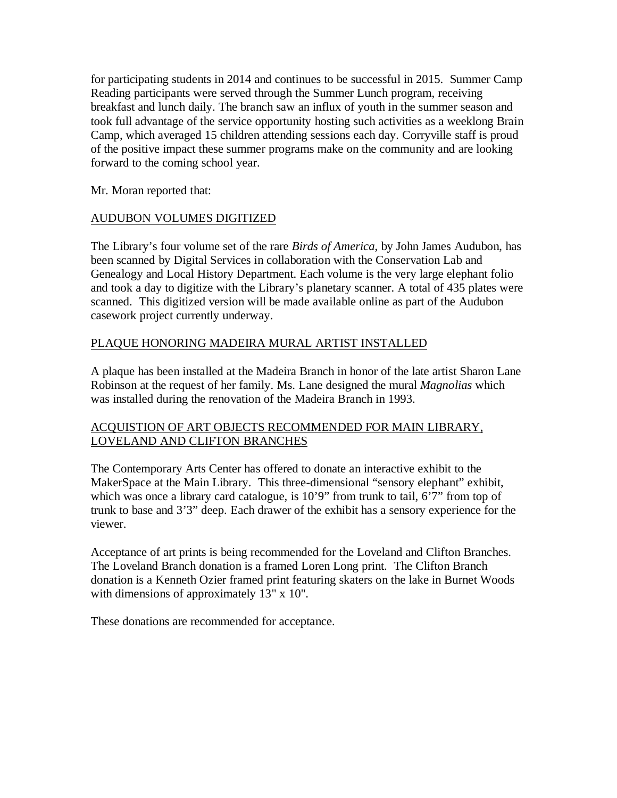for participating students in 2014 and continues to be successful in 2015. Summer Camp Reading participants were served through the Summer Lunch program, receiving breakfast and lunch daily. The branch saw an influx of youth in the summer season and took full advantage of the service opportunity hosting such activities as a weeklong Brain Camp, which averaged 15 children attending sessions each day. Corryville staff is proud of the positive impact these summer programs make on the community and are looking forward to the coming school year.

Mr. Moran reported that:

## AUDUBON VOLUMES DIGITIZED

The Library's four volume set of the rare *Birds of America*, by John James Audubon, has been scanned by Digital Services in collaboration with the Conservation Lab and Genealogy and Local History Department. Each volume is the very large elephant folio and took a day to digitize with the Library's planetary scanner. A total of 435 plates were scanned. This digitized version will be made available online as part of the Audubon casework project currently underway.

## PLAQUE HONORING MADEIRA MURAL ARTIST INSTALLED

A plaque has been installed at the Madeira Branch in honor of the late artist Sharon Lane Robinson at the request of her family. Ms. Lane designed the mural *Magnolias* which was installed during the renovation of the Madeira Branch in 1993.

## ACQUISTION OF ART OBJECTS RECOMMENDED FOR MAIN LIBRARY, LOVELAND AND CLIFTON BRANCHES

The Contemporary Arts Center has offered to donate an interactive exhibit to the MakerSpace at the Main Library. This three-dimensional "sensory elephant" exhibit, which was once a library card catalogue, is 10'9" from trunk to tail, 6'7" from top of trunk to base and 3'3" deep. Each drawer of the exhibit has a sensory experience for the viewer.

Acceptance of art prints is being recommended for the Loveland and Clifton Branches. The Loveland Branch donation is a framed Loren Long print. The Clifton Branch donation is a Kenneth Ozier framed print featuring skaters on the lake in Burnet Woods with dimensions of approximately 13" x 10".

These donations are recommended for acceptance.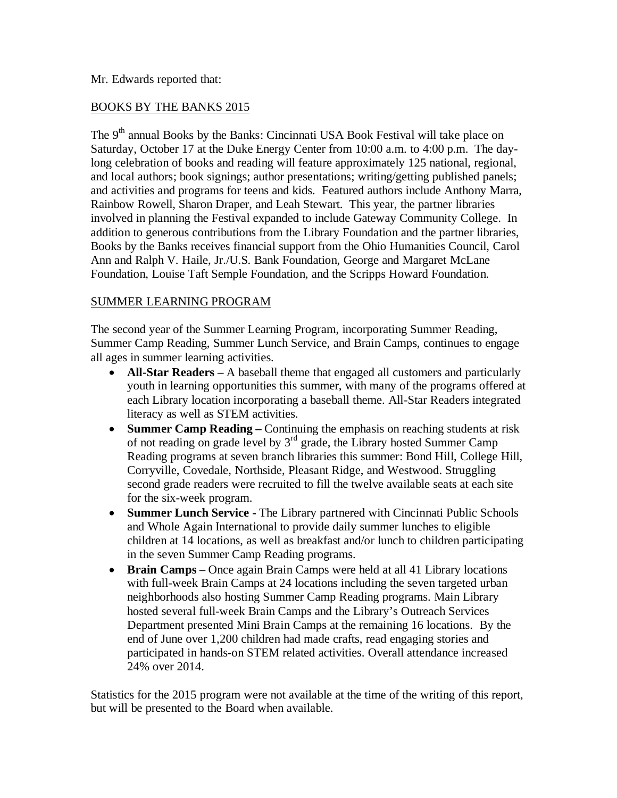Mr. Edwards reported that:

## BOOKS BY THE BANKS 2015

The 9<sup>th</sup> annual Books by the Banks: Cincinnati USA Book Festival will take place on Saturday, October 17 at the Duke Energy Center from 10:00 a.m. to 4:00 p.m. The daylong celebration of books and reading will feature approximately 125 national, regional, and local authors; book signings; author presentations; writing/getting published panels; and activities and programs for teens and kids. Featured authors include Anthony Marra, Rainbow Rowell, Sharon Draper, and Leah Stewart. This year, the partner libraries involved in planning the Festival expanded to include Gateway Community College. In addition to generous contributions from the Library Foundation and the partner libraries, Books by the Banks receives financial support from the Ohio Humanities Council, Carol Ann and Ralph V. Haile, Jr./U.S. Bank Foundation, George and Margaret McLane Foundation, Louise Taft Semple Foundation, and the Scripps Howard Foundation.

## SUMMER LEARNING PROGRAM

The second year of the Summer Learning Program, incorporating Summer Reading, Summer Camp Reading, Summer Lunch Service, and Brain Camps, continues to engage all ages in summer learning activities.

- **All-Star Readers** A baseball theme that engaged all customers and particularly youth in learning opportunities this summer, with many of the programs offered at each Library location incorporating a baseball theme. All-Star Readers integrated literacy as well as STEM activities.
- **Summer Camp Reading –** Continuing the emphasis on reaching students at risk of not reading on grade level by  $3<sup>rd</sup>$  grade, the Library hosted Summer Camp Reading programs at seven branch libraries this summer: Bond Hill, College Hill, Corryville, Covedale, Northside, Pleasant Ridge, and Westwood. Struggling second grade readers were recruited to fill the twelve available seats at each site for the six-week program.
- **Summer Lunch Service -** The Library partnered with Cincinnati Public Schools and Whole Again International to provide daily summer lunches to eligible children at 14 locations, as well as breakfast and/or lunch to children participating in the seven Summer Camp Reading programs.
- **Brain Camps** Once again Brain Camps were held at all 41 Library locations with full-week Brain Camps at 24 locations including the seven targeted urban neighborhoods also hosting Summer Camp Reading programs. Main Library hosted several full-week Brain Camps and the Library's Outreach Services Department presented Mini Brain Camps at the remaining 16 locations. By the end of June over 1,200 children had made crafts, read engaging stories and participated in hands-on STEM related activities. Overall attendance increased 24% over 2014.

Statistics for the 2015 program were not available at the time of the writing of this report, but will be presented to the Board when available.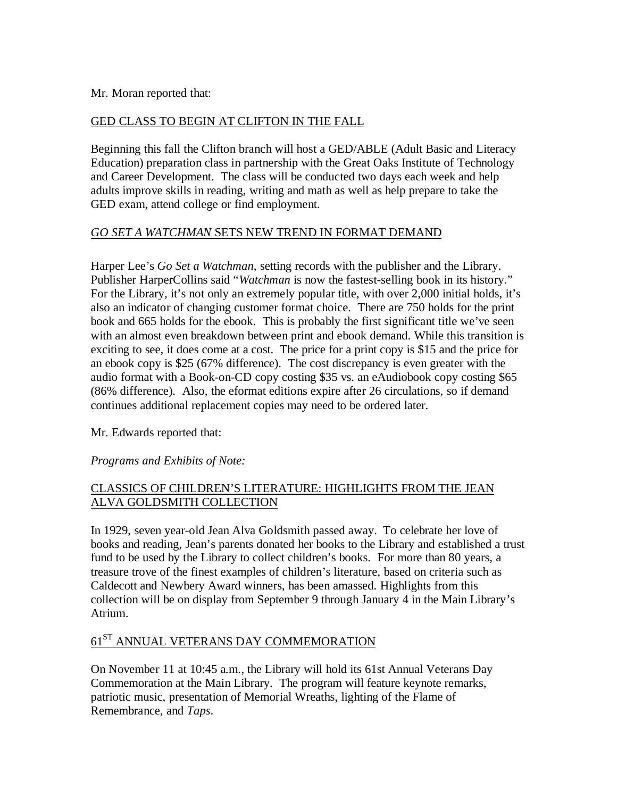#### Mr. Moran reported that:

#### GED CLASS TO BEGIN AT CLIFTON IN THE FALL

Beginning this fall the Clifton branch will host a GED/ABLE (Adult Basic and Literacy Education) preparation class in partnership with the Great Oaks Institute of Technology and Career Development. The class will be conducted two days each week and help adults improve skills in reading, writing and math as well as help prepare to take the GED exam, attend college or find employment.

#### *GO SET A WATCHMAN* SETS NEW TREND IN FORMAT DEMAND

Harper Lee's *Go Set a Watchman*, setting records with the publisher and the Library. Publisher HarperCollins said "*Watchman* is now the fastest-selling book in its history." For the Library, it's not only an extremely popular title, with over 2,000 initial holds, it's also an indicator of changing customer format choice. There are 750 holds for the print book and 665 holds for the ebook. This is probably the first significant title we've seen with an almost even breakdown between print and ebook demand. While this transition is exciting to see, it does come at a cost. The price for a print copy is \$15 and the price for an ebook copy is \$25 (67% difference). The cost discrepancy is even greater with the audio format with a Book-on-CD copy costing \$35 vs. an eAudiobook copy costing \$65 (86% difference). Also, the eformat editions expire after 26 circulations, so if demand continues additional replacement copies may need to be ordered later.

Mr. Edwards reported that:

*Programs and Exhibits of Note:*

## CLASSICS OF CHILDREN'S LITERATURE: HIGHLIGHTS FROM THE JEAN ALVA GOLDSMITH COLLECTION

In 1929, seven year-old Jean Alva Goldsmith passed away. To celebrate her love of books and reading, Jean's parents donated her books to the Library and established a trust fund to be used by the Library to collect children's books. For more than 80 years, a treasure trove of the finest examples of children's literature, based on criteria such as Caldecott and Newbery Award winners, has been amassed. Highlights from this collection will be on display from September 9 through January 4 in the Main Library's Atrium.

# $61^\mathrm{ST}$  ANNUAL VETERANS DAY COMMEMORATION

On November 11 at 10:45 a.m., the Library will hold its 61st Annual Veterans Day Commemoration at the Main Library. The program will feature keynote remarks, patriotic music, presentation of Memorial Wreaths, lighting of the Flame of Remembrance, and *Taps*.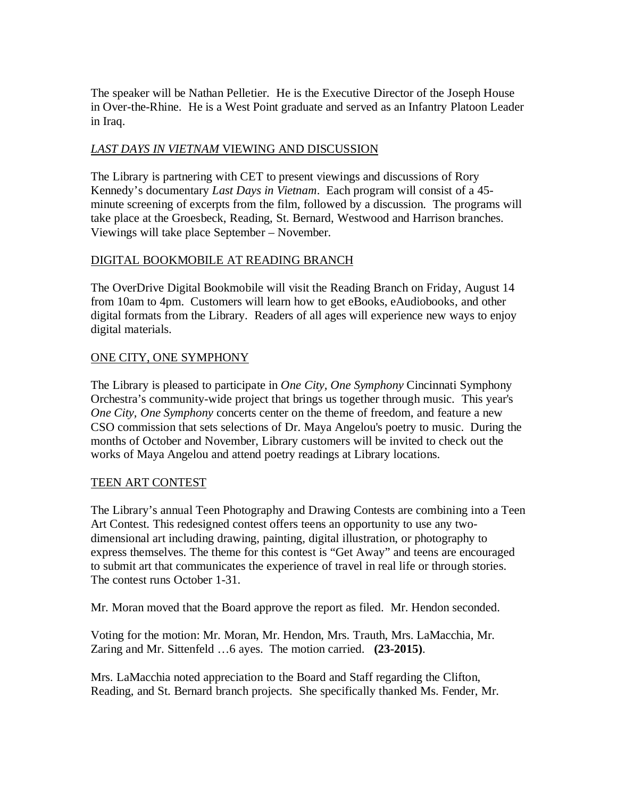The speaker will be Nathan Pelletier. He is the Executive Director of the Joseph House in Over-the-Rhine. He is a West Point graduate and served as an Infantry Platoon Leader in Iraq.

## *LAST DAYS IN VIETNAM* VIEWING AND DISCUSSION

The Library is partnering with CET to present viewings and discussions of Rory Kennedy's documentary *Last Days in Vietnam*. Each program will consist of a 45 minute screening of excerpts from the film, followed by a discussion. The programs will take place at the Groesbeck, Reading, St. Bernard, Westwood and Harrison branches. Viewings will take place September – November.

#### DIGITAL BOOKMOBILE AT READING BRANCH

The OverDrive Digital Bookmobile will visit the Reading Branch on Friday, August 14 from 10am to 4pm. Customers will learn how to get eBooks, eAudiobooks, and other digital formats from the Library. Readers of all ages will experience new ways to enjoy digital materials.

## ONE CITY, ONE SYMPHONY

The Library is pleased to participate in *One City, One Symphony* Cincinnati Symphony Orchestra's community-wide project that brings us together through music. This year's *One City, One Symphony* concerts center on the theme of freedom, and feature a new CSO commission that sets selections of Dr. Maya Angelou's poetry to music. During the months of October and November, Library customers will be invited to check out the works of Maya Angelou and attend poetry readings at Library locations.

#### TEEN ART CONTEST

The Library's annual Teen Photography and Drawing Contests are combining into a Teen Art Contest. This redesigned contest offers teens an opportunity to use any twodimensional art including drawing, painting, digital illustration, or photography to express themselves. The theme for this contest is "Get Away" and teens are encouraged to submit art that communicates the experience of travel in real life or through stories. The contest runs October 1-31.

Mr. Moran moved that the Board approve the report as filed. Mr. Hendon seconded.

Voting for the motion: Mr. Moran, Mr. Hendon, Mrs. Trauth, Mrs. LaMacchia, Mr. Zaring and Mr. Sittenfeld …6 ayes. The motion carried. **(23-2015)**.

Mrs. LaMacchia noted appreciation to the Board and Staff regarding the Clifton, Reading, and St. Bernard branch projects. She specifically thanked Ms. Fender, Mr.